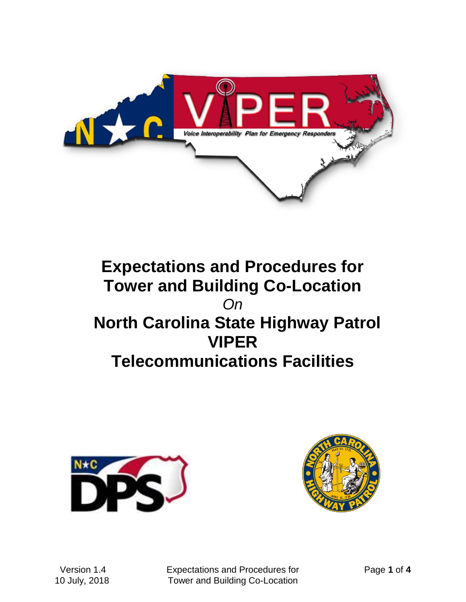

# **Expectations and Procedures for Tower and Building Co-Location** *On*  **North Carolina State Highway Patrol VIPER Telecommunications Facilities**





 Version 1.4 Expectations and Procedures for Page **1** of **4** 10 July, 2018 Tower and Building Co-Location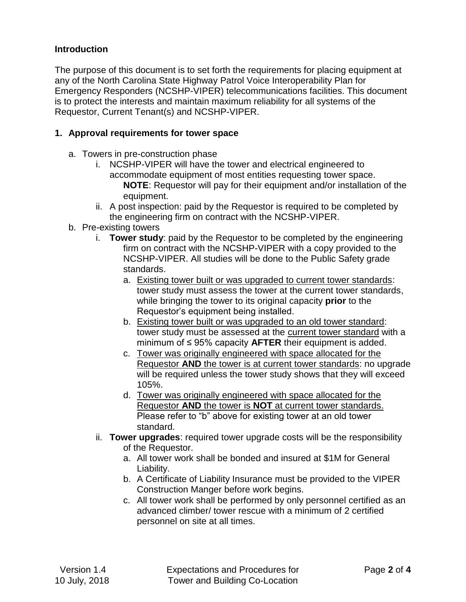### **Introduction**

The purpose of this document is to set forth the requirements for placing equipment at any of the North Carolina State Highway Patrol Voice Interoperability Plan for Emergency Responders (NCSHP-VIPER) telecommunications facilities. This document is to protect the interests and maintain maximum reliability for all systems of the Requestor, Current Tenant(s) and NCSHP-VIPER.

### **1. Approval requirements for tower space**

- a. Towers in pre-construction phase
	- i. NCSHP-VIPER will have the tower and electrical engineered to accommodate equipment of most entities requesting tower space. **NOTE**: Requestor will pay for their equipment and/or installation of the equipment.
	- ii. A post inspection: paid by the Requestor is required to be completed by the engineering firm on contract with the NCSHP-VIPER.
- b. Pre-existing towers
	- i. **Tower study**: paid by the Requestor to be completed by the engineering firm on contract with the NCSHP-VIPER with a copy provided to the NCSHP-VIPER. All studies will be done to the Public Safety grade standards.
		- a. Existing tower built or was upgraded to current tower standards: tower study must assess the tower at the current tower standards, while bringing the tower to its original capacity **prior** to the Requestor's equipment being installed.
		- b. Existing tower built or was upgraded to an old tower standard: tower study must be assessed at the current tower standard with a minimum of ≤ 95% capacity **AFTER** their equipment is added.
		- c. Tower was originally engineered with space allocated for the Requestor **AND** the tower is at current tower standards: no upgrade will be required unless the tower study shows that they will exceed 105%.
		- d. Tower was originally engineered with space allocated for the Requestor **AND** the tower is **NOT** at current tower standards. Please refer to "b" above for existing tower at an old tower standard.
	- ii. **Tower upgrades**: required tower upgrade costs will be the responsibility of the Requestor.
		- a. All tower work shall be bonded and insured at \$1M for General Liability.
		- b. A Certificate of Liability Insurance must be provided to the VIPER Construction Manger before work begins.
		- c. All tower work shall be performed by only personnel certified as an advanced climber/ tower rescue with a minimum of 2 certified personnel on site at all times.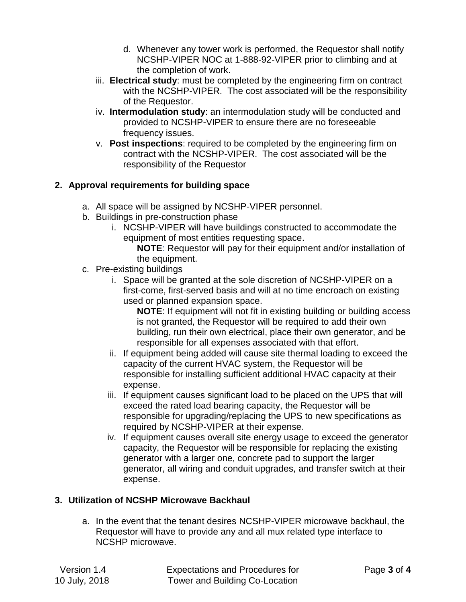- d. Whenever any tower work is performed, the Requestor shall notify NCSHP-VIPER NOC at 1-888-92-VIPER prior to climbing and at the completion of work.
- iii. **Electrical study**: must be completed by the engineering firm on contract with the NCSHP-VIPER. The cost associated will be the responsibility of the Requestor.
- iv. **Intermodulation study**: an intermodulation study will be conducted and provided to NCSHP-VIPER to ensure there are no foreseeable frequency issues.
- v. **Post inspections**: required to be completed by the engineering firm on contract with the NCSHP-VIPER. The cost associated will be the responsibility of the Requestor

## **2. Approval requirements for building space**

- a. All space will be assigned by NCSHP-VIPER personnel.
- b. Buildings in pre-construction phase
	- i. NCSHP-VIPER will have buildings constructed to accommodate the equipment of most entities requesting space.
		- **NOTE**: Requestor will pay for their equipment and/or installation of the equipment.
- c. Pre-existing buildings
	- i. Space will be granted at the sole discretion of NCSHP-VIPER on a first-come, first-served basis and will at no time encroach on existing used or planned expansion space.

**NOTE**: If equipment will not fit in existing building or building access is not granted, the Requestor will be required to add their own building, run their own electrical, place their own generator, and be responsible for all expenses associated with that effort.

- ii. If equipment being added will cause site thermal loading to exceed the capacity of the current HVAC system, the Requestor will be responsible for installing sufficient additional HVAC capacity at their expense.
- iii. If equipment causes significant load to be placed on the UPS that will exceed the rated load bearing capacity, the Requestor will be responsible for upgrading/replacing the UPS to new specifications as required by NCSHP-VIPER at their expense.
- iv. If equipment causes overall site energy usage to exceed the generator capacity, the Requestor will be responsible for replacing the existing generator with a larger one, concrete pad to support the larger generator, all wiring and conduit upgrades, and transfer switch at their expense.

# **3. Utilization of NCSHP Microwave Backhaul**

a. In the event that the tenant desires NCSHP-VIPER microwave backhaul, the Requestor will have to provide any and all mux related type interface to NCSHP microwave.